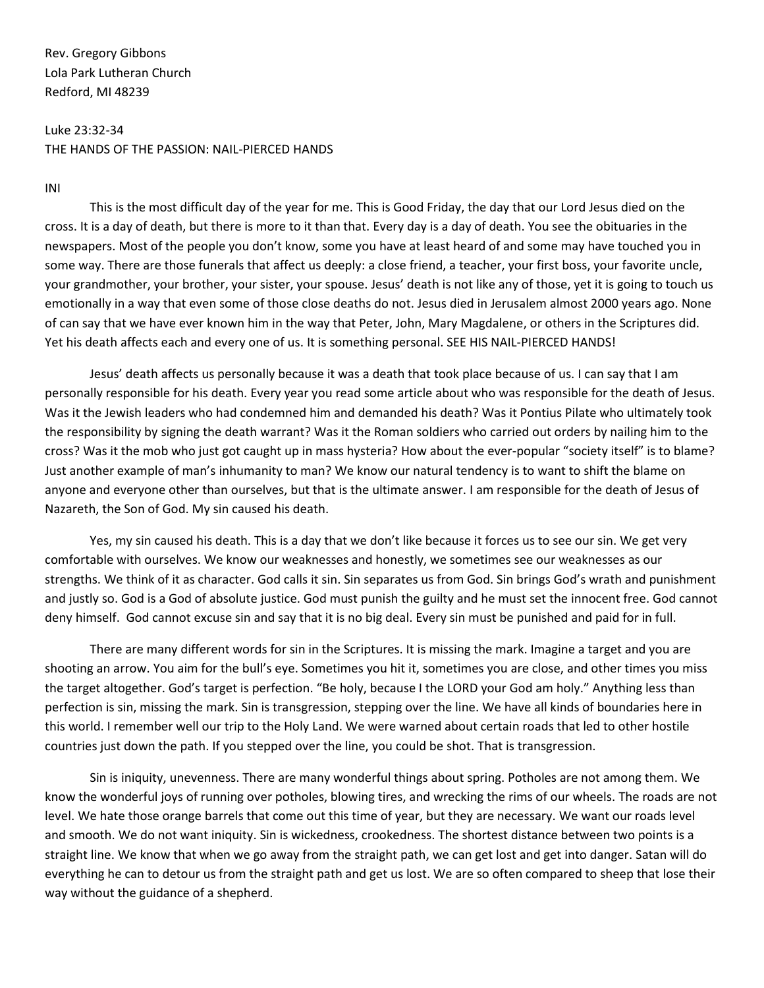Rev. Gregory Gibbons Lola Park Lutheran Church Redford, MI 48239

## Luke 23:32-34 THE HANDS OF THE PASSION: NAIL-PIERCED HANDS

INI

This is the most difficult day of the year for me. This is Good Friday, the day that our Lord Jesus died on the cross. It is a day of death, but there is more to it than that. Every day is a day of death. You see the obituaries in the newspapers. Most of the people you don't know, some you have at least heard of and some may have touched you in some way. There are those funerals that affect us deeply: a close friend, a teacher, your first boss, your favorite uncle, your grandmother, your brother, your sister, your spouse. Jesus' death is not like any of those, yet it is going to touch us emotionally in a way that even some of those close deaths do not. Jesus died in Jerusalem almost 2000 years ago. None of can say that we have ever known him in the way that Peter, John, Mary Magdalene, or others in the Scriptures did. Yet his death affects each and every one of us. It is something personal. SEE HIS NAIL-PIERCED HANDS!

Jesus' death affects us personally because it was a death that took place because of us. I can say that I am personally responsible for his death. Every year you read some article about who was responsible for the death of Jesus. Was it the Jewish leaders who had condemned him and demanded his death? Was it Pontius Pilate who ultimately took the responsibility by signing the death warrant? Was it the Roman soldiers who carried out orders by nailing him to the cross? Was it the mob who just got caught up in mass hysteria? How about the ever-popular "society itself" is to blame? Just another example of man's inhumanity to man? We know our natural tendency is to want to shift the blame on anyone and everyone other than ourselves, but that is the ultimate answer. I am responsible for the death of Jesus of Nazareth, the Son of God. My sin caused his death.

Yes, my sin caused his death. This is a day that we don't like because it forces us to see our sin. We get very comfortable with ourselves. We know our weaknesses and honestly, we sometimes see our weaknesses as our strengths. We think of it as character. God calls it sin. Sin separates us from God. Sin brings God's wrath and punishment and justly so. God is a God of absolute justice. God must punish the guilty and he must set the innocent free. God cannot deny himself. God cannot excuse sin and say that it is no big deal. Every sin must be punished and paid for in full.

There are many different words for sin in the Scriptures. It is missing the mark. Imagine a target and you are shooting an arrow. You aim for the bull's eye. Sometimes you hit it, sometimes you are close, and other times you miss the target altogether. God's target is perfection. "Be holy, because I the LORD your God am holy." Anything less than perfection is sin, missing the mark. Sin is transgression, stepping over the line. We have all kinds of boundaries here in this world. I remember well our trip to the Holy Land. We were warned about certain roads that led to other hostile countries just down the path. If you stepped over the line, you could be shot. That is transgression.

Sin is iniquity, unevenness. There are many wonderful things about spring. Potholes are not among them. We know the wonderful joys of running over potholes, blowing tires, and wrecking the rims of our wheels. The roads are not level. We hate those orange barrels that come out this time of year, but they are necessary. We want our roads level and smooth. We do not want iniquity. Sin is wickedness, crookedness. The shortest distance between two points is a straight line. We know that when we go away from the straight path, we can get lost and get into danger. Satan will do everything he can to detour us from the straight path and get us lost. We are so often compared to sheep that lose their way without the guidance of a shepherd.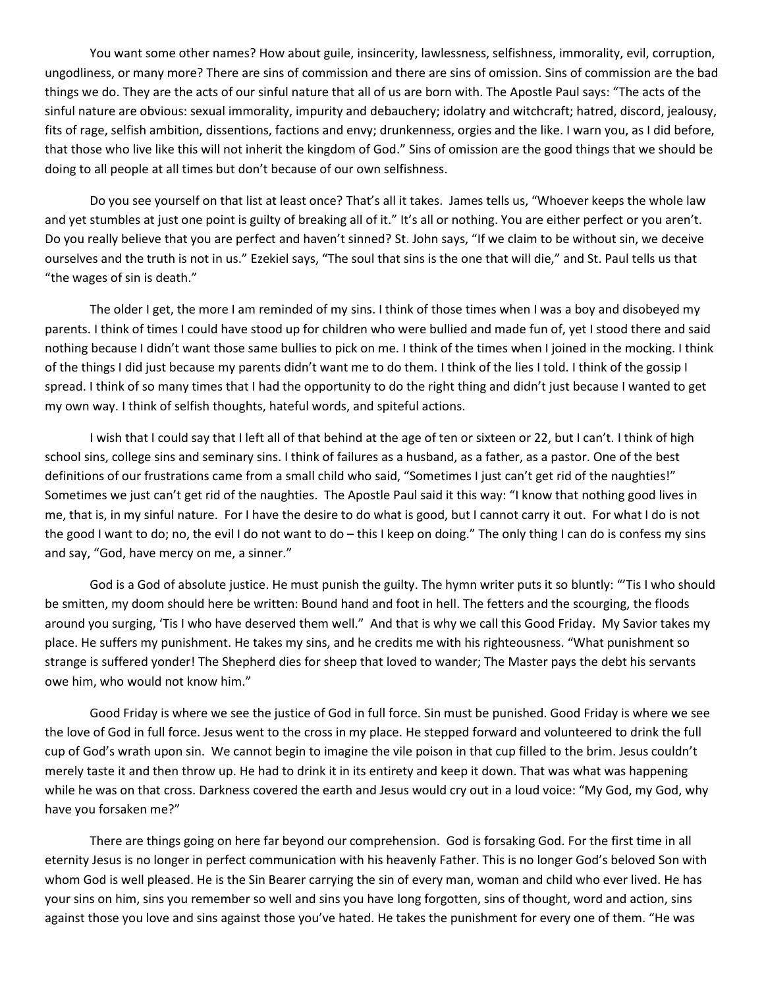You want some other names? How about guile, insincerity, lawlessness, selfishness, immorality, evil, corruption, ungodliness, or many more? There are sins of commission and there are sins of omission. Sins of commission are the bad things we do. They are the acts of our sinful nature that all of us are born with. The Apostle Paul says: "The acts of the sinful nature are obvious: sexual immorality, impurity and debauchery; idolatry and witchcraft; hatred, discord, jealousy, fits of rage, selfish ambition, dissentions, factions and envy; drunkenness, orgies and the like. I warn you, as I did before, that those who live like this will not inherit the kingdom of God." Sins of omission are the good things that we should be doing to all people at all times but don't because of our own selfishness.

Do you see yourself on that list at least once? That's all it takes. James tells us, "Whoever keeps the whole law and yet stumbles at just one point is guilty of breaking all of it." It's all or nothing. You are either perfect or you aren't. Do you really believe that you are perfect and haven't sinned? St. John says, "If we claim to be without sin, we deceive ourselves and the truth is not in us." Ezekiel says, "The soul that sins is the one that will die," and St. Paul tells us that "the wages of sin is death."

The older I get, the more I am reminded of my sins. I think of those times when I was a boy and disobeyed my parents. I think of times I could have stood up for children who were bullied and made fun of, yet I stood there and said nothing because I didn't want those same bullies to pick on me. I think of the times when I joined in the mocking. I think of the things I did just because my parents didn't want me to do them. I think of the lies I told. I think of the gossip I spread. I think of so many times that I had the opportunity to do the right thing and didn't just because I wanted to get my own way. I think of selfish thoughts, hateful words, and spiteful actions.

I wish that I could say that I left all of that behind at the age of ten or sixteen or 22, but I can't. I think of high school sins, college sins and seminary sins. I think of failures as a husband, as a father, as a pastor. One of the best definitions of our frustrations came from a small child who said, "Sometimes I just can't get rid of the naughties!" Sometimes we just can't get rid of the naughties. The Apostle Paul said it this way: "I know that nothing good lives in me, that is, in my sinful nature. For I have the desire to do what is good, but I cannot carry it out. For what I do is not the good I want to do; no, the evil I do not want to do – this I keep on doing." The only thing I can do is confess my sins and say, "God, have mercy on me, a sinner."

God is a God of absolute justice. He must punish the guilty. The hymn writer puts it so bluntly: "'Tis I who should be smitten, my doom should here be written: Bound hand and foot in hell. The fetters and the scourging, the floods around you surging, 'Tis I who have deserved them well." And that is why we call this Good Friday. My Savior takes my place. He suffers my punishment. He takes my sins, and he credits me with his righteousness. "What punishment so strange is suffered yonder! The Shepherd dies for sheep that loved to wander; The Master pays the debt his servants owe him, who would not know him."

Good Friday is where we see the justice of God in full force. Sin must be punished. Good Friday is where we see the love of God in full force. Jesus went to the cross in my place. He stepped forward and volunteered to drink the full cup of God's wrath upon sin. We cannot begin to imagine the vile poison in that cup filled to the brim. Jesus couldn't merely taste it and then throw up. He had to drink it in its entirety and keep it down. That was what was happening while he was on that cross. Darkness covered the earth and Jesus would cry out in a loud voice: "My God, my God, why have you forsaken me?"

There are things going on here far beyond our comprehension. God is forsaking God. For the first time in all eternity Jesus is no longer in perfect communication with his heavenly Father. This is no longer God's beloved Son with whom God is well pleased. He is the Sin Bearer carrying the sin of every man, woman and child who ever lived. He has your sins on him, sins you remember so well and sins you have long forgotten, sins of thought, word and action, sins against those you love and sins against those you've hated. He takes the punishment for every one of them. "He was